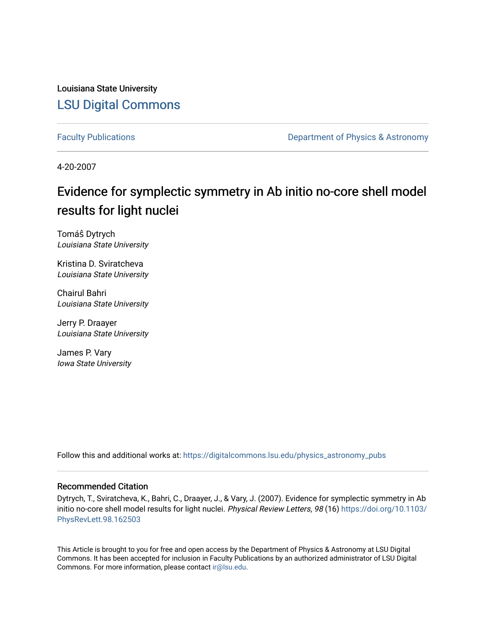Louisiana State University [LSU Digital Commons](https://digitalcommons.lsu.edu/)

[Faculty Publications](https://digitalcommons.lsu.edu/physics_astronomy_pubs) **Exercise 2 and Table 2 and Table 2 and Table 2 and Table 2 and Table 2 and Table 2 and Table 2 and Table 2 and Table 2 and Table 2 and Table 2 and Table 2 and Table 2 and Table 2 and Table 2 and Table** 

4-20-2007

## Evidence for symplectic symmetry in Ab initio no-core shell model results for light nuclei

Tomáŝ Dytrych Louisiana State University

Kristina D. Sviratcheva Louisiana State University

Chairul Bahri Louisiana State University

Jerry P. Draayer Louisiana State University

James P. Vary Iowa State University

Follow this and additional works at: [https://digitalcommons.lsu.edu/physics\\_astronomy\\_pubs](https://digitalcommons.lsu.edu/physics_astronomy_pubs?utm_source=digitalcommons.lsu.edu%2Fphysics_astronomy_pubs%2F1798&utm_medium=PDF&utm_campaign=PDFCoverPages) 

## Recommended Citation

Dytrych, T., Sviratcheva, K., Bahri, C., Draayer, J., & Vary, J. (2007). Evidence for symplectic symmetry in Ab initio no-core shell model results for light nuclei. Physical Review Letters, 98 (16) [https://doi.org/10.1103/](https://doi.org/10.1103/PhysRevLett.98.162503) [PhysRevLett.98.162503](https://doi.org/10.1103/PhysRevLett.98.162503)

This Article is brought to you for free and open access by the Department of Physics & Astronomy at LSU Digital Commons. It has been accepted for inclusion in Faculty Publications by an authorized administrator of LSU Digital Commons. For more information, please contact [ir@lsu.edu](mailto:ir@lsu.edu).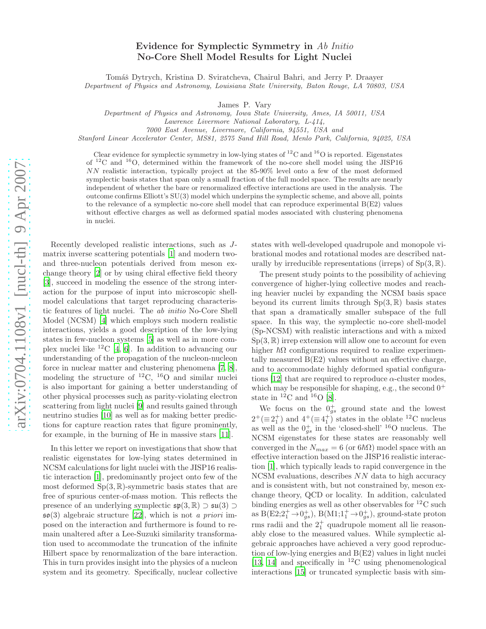## Evidence for Symplectic Symmetry in Ab Initio No-Core Shell Model Results for Light Nuclei

Tomáš Dytrych, Kristina D. Sviratcheva, Chairul Bahri, and Jerry P. Draayer Department of Physics and Astronomy, Louisiana State University, Baton Rouge, LA 70803, USA

James P. Vary

Department of Physics and Astronomy, Iowa State University, Ames, IA 50011, USA

Lawrence Livermore National Laboratory, L-414,

7000 East Avenue, Livermore, California, 94551, USA and

Stanford Linear Accelerator Center, MS81, 2575 Sand Hill Road, Menlo Park, California, 94025, USA

Clear evidence for symplectic symmetry in low-lying states of  $^{12}$ C and  $^{16}$ O is reported. Eigenstates of <sup>12</sup>C and <sup>16</sup>O, determined within the framework of the no-core shell model using the JISP16 NN realistic interaction, typically project at the 85-90% level onto a few of the most deformed symplectic basis states that span only a small fraction of the full model space. The results are nearly independent of whether the bare or renormalized effective interactions are used in the analysis. The outcome confirms Elliott's SU(3) model which underpins the symplectic scheme, and above all, points to the relevance of a symplectic no-core shell model that can reproduce experimental  $B(E2)$  values without effective charges as well as deformed spatial modes associated with clustering phenomena in nuclei.

Recently developed realistic interactions, such as J matrix inverse scattering potentials [\[1\]](#page-4-0) and modern twoand three-nucleon potentials derived from meson exchange theory [\[2\]](#page-4-1) or by using chiral effective field theory [\[3\]](#page-4-2), succeed in modeling the essence of the strong interaction for the purpose of input into microscopic shellmodel calculations that target reproducing characteristic features of light nuclei. The ab initio No-Core Shell Model (NCSM) [\[4\]](#page-4-3) which employs such modern realistic interactions, yields a good description of the low-lying states in few-nucleon systems [\[5](#page-4-4)] as well as in more complex nuclei like  ${}^{12}C$  [\[4](#page-4-3), [6\]](#page-4-5). In addition to advancing our understanding of the propagation of the nucleon-nucleon force in nuclear matter and clustering phenomena [\[7](#page-4-6), [8\]](#page-4-7), modeling the structure of  ${}^{12}C$ ,  ${}^{16}O$  and similar nuclei is also important for gaining a better understanding of other physical processes such as parity-violating electron scattering from light nuclei [\[9\]](#page-4-8) and results gained through neutrino studies [\[10\]](#page-4-9) as well as for making better predictions for capture reaction rates that figure prominently, for example, in the burning of He in massive stars [\[11](#page-4-10)].

In this letter we report on investigations that show that realistic eigenstates for low-lying states determined in NCSM calculations for light nuclei with the JISP16 realistic interaction [\[1\]](#page-4-0), predominantly project onto few of the most deformed  $Sp(3, \mathbb{R})$ -symmetric basis states that are free of spurious center-of-mass motion. This reflects the presence of an underlying symplectic  $\mathfrak{sp}(3,\mathbb{R}) \supset \mathfrak{su}(3) \supset$  $\mathfrak{so}(3)$  algebraic structure [\[22\]](#page-4-11), which is not a priori imposed on the interaction and furthermore is found to remain unaltered after a Lee-Suzuki similarity transformation used to accommodate the truncation of the infinite Hilbert space by renormalization of the bare interaction. This in turn provides insight into the physics of a nucleon system and its geometry. Specifically, nuclear collective

states with well-developed quadrupole and monopole vibrational modes and rotational modes are described naturally by irreducible representations (irreps) of  $Sp(3, \mathbb{R})$ .

The present study points to the possibility of achieving convergence of higher-lying collective modes and reaching heavier nuclei by expanding the NCSM basis space beyond its current limits through  $Sp(3, \mathbb{R})$  basis states that span a dramatically smaller subspace of the full space. In this way, the symplectic no-core shell-model (Sp-NCSM) with realistic interactions and with a mixed  $Sp(3, \mathbb{R})$  irrep extension will allow one to account for even higher  $\hbar\Omega$  configurations required to realize experimentally measured  $B(E2)$  values without an effective charge, and to accommodate highly deformed spatial configura-tions [\[12\]](#page-4-12) that are required to reproduce  $\alpha$ -cluster modes, which may be responsible for shaping, e.g., the second  $0^+$ state in  ${}^{12}$ C and  ${}^{16}$ O [\[8\]](#page-4-7).

We focus on the  $0^+_{gs}$  ground state and the lowest  $2^+ (\equiv 2^+_1)$  and  $4^+ (\equiv 4^+_1)$  states in the oblate <sup>12</sup>C nucleus as well as the  $0^{+}_{gs}$  in the 'closed-shell' <sup>16</sup>O nucleus. The NCSM eigenstates for these states are reasonably well converged in the  $N_{max} = 6$  (or  $6\hbar\Omega$ ) model space with an effective interaction based on the JISP16 realistic interaction [\[1\]](#page-4-0), which typically leads to rapid convergence in the NCSM evaluations, describes NN data to high accuracy and is consistent with, but not constrained by, meson exchange theory, QCD or locality. In addition, calculated binding energies as well as other observables for  ${}^{12}$ C such as  $B(E2; 2^+_1 \rightarrow 0^+_{gs})$ ,  $B(M1; 1^+_1 \rightarrow 0^+_{gs})$ , ground-state proton rms radii and the  $2^+_1$  quadrupole moment all lie reasonably close to the measured values. While symplectic algebraic approaches have achieved a very good reproduction of low-lying energies and B(E2) values in light nuclei [\[13,](#page-4-13) [14\]](#page-4-14) and specifically in  ${}^{12}$ C using phenomenological interactions [\[15\]](#page-4-15) or truncated symplectic basis with sim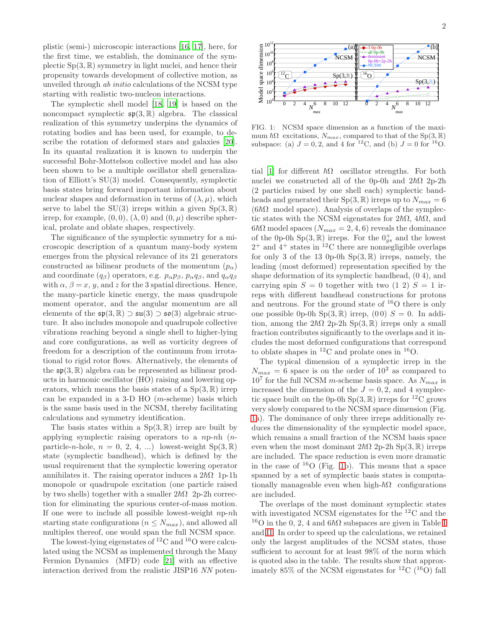plistic (semi-) microscopic interactions [\[16,](#page-4-16) [17\]](#page-4-17), here, for the first time, we establish, the dominance of the symplectic  $Sp(3, \mathbb{R})$  symmetry in light nuclei, and hence their propensity towards development of collective motion, as unveiled through ab initio calculations of the NCSM type starting with realistic two-nucleon interactions.

The symplectic shell model [\[18](#page-4-18), [19\]](#page-4-19) is based on the noncompact symplectic  $\mathfrak{sp}(3,\mathbb{R})$  algebra. The classical realization of this symmetry underpins the dynamics of rotating bodies and has been used, for example, to describe the rotation of deformed stars and galaxies [\[20\]](#page-4-20). In its quantal realization it is known to underpin the successful Bohr-Mottelson collective model and has also been shown to be a multiple oscillator shell generalization of Elliott's SU(3) model. Consequently, symplectic basis states bring forward important information about nuclear shapes and deformation in terms of  $(\lambda, \mu)$ , which serve to label the SU(3) irreps within a given  $Sp(3, \mathbb{R})$ irrep, for example,  $(0, 0)$ ,  $(\lambda, 0)$  and  $(0, \mu)$  describe spherical, prolate and oblate shapes, respectively.

The significance of the symplectic symmetry for a microscopic description of a quantum many-body system emerges from the physical relevance of its 21 generators constructed as bilinear products of the momentum  $(p_{\alpha})$ and coordinate  $(q_\beta)$  operators, e.g.  $p_\alpha p_\beta$ ,  $p_\alpha q_\beta$ , and  $q_\alpha q_\beta$ with  $\alpha$ ,  $\beta = x$ ,  $y$ , and z for the 3 spatial directions. Hence, the many-particle kinetic energy, the mass quadrupole moment operator, and the angular momentum are all elements of the  $\mathfrak{sp}(3,\mathbb{R}) \supset \mathfrak{su}(3) \supset \mathfrak{so}(3)$  algebraic structure. It also includes monopole and quadrupole collective vibrations reaching beyond a single shell to higher-lying and core configurations, as well as vorticity degrees of freedom for a description of the continuum from irrotational to rigid rotor flows. Alternatively, the elements of the  $\mathfrak{sp}(3,\mathbb{R})$  algebra can be represented as bilinear products in harmonic oscillator (HO) raising and lowering operators, which means the basis states of a  $Sp(3, \mathbb{R})$  irrep can be expanded in a 3-D HO (m-scheme) basis which is the same basis used in the NCSM, thereby facilitating calculations and symmetry identification.

The basis states within a  $Sp(3, \mathbb{R})$  irrep are built by applying symplectic raising operators to a np-nh (nparticle-n-hole,  $n = 0, 2, 4, ...$  lowest-weight  $Sp(3, \mathbb{R})$ state (symplectic bandhead), which is defined by the usual requirement that the symplectic lowering operator annihilates it. The raising operator induces a  $2\hbar\Omega$  1p-1h monopole or quadrupole excitation (one particle raised by two shells) together with a smaller  $2\hbar\Omega$  2p-2h correction for eliminating the spurious center-of-mass motion. If one were to include all possible lowest-weight  $np-nh$ starting state configurations ( $n \leq N_{max}$ ), and allowed all multiples thereof, one would span the full NCSM space.

The lowest-lying eigenstates of  ${}^{12}$ C and  ${}^{16}$ O were calculated using the NCSM as implemented through the Many Fermion Dynamics (MFD) code [\[21\]](#page-4-21) with an effective interaction derived from the realistic JISP16 NN poten-



<span id="page-2-0"></span>FIG. 1: NCSM space dimension as a function of the maximum  $\hbar\Omega$  excitations,  $N_{max}$ , compared to that of the Sp(3, R) subspace: (a)  $J = 0, 2$ , and 4 for <sup>12</sup>C, and (b)  $J = 0$  for <sup>16</sup>O.

tial [\[1\]](#page-4-0) for different  $\hbar\Omega$  oscillator strengths. For both nuclei we constructed all of the 0p-0h and  $2\hbar\Omega$  2p-2h (2 particles raised by one shell each) symplectic bandheads and generated their  $Sp(3, \mathbb{R})$  irreps up to  $N_{max} = 6$  $(6\hbar\Omega \mod{space})$ . Analysis of overlaps of the symplectic states with the NCSM eigenstates for  $2\hbar\Omega$ ,  $4\hbar\Omega$ , and  $6\hbar\Omega$  model spaces  $(N_{max} = 2, 4, 6)$  reveals the dominance of the 0p-0h Sp(3,  $\mathbb{R}$ ) irreps. For the  $0.4$  and the lowest  $2^+$  and  $4^+$  states in <sup>12</sup>C there are nonnegligible overlaps for only 3 of the 13 0p-0h  $Sp(3, \mathbb{R})$  irreps, namely, the leading (most deformed) representation specified by the shape deformation of its symplectic bandhead, (0 4), and carrying spin  $S = 0$  together with two  $(1\ 2)$   $S = 1$  irreps with different bandhead constructions for protons and neutrons. For the ground state of  $16$ O there is only one possible 0p-0h  $Sp(3, \mathbb{R})$  irrep, (00)  $S = 0$ . In addition, among the  $2\hbar\Omega$  2p-2h Sp(3, R) irreps only a small fraction contributes significantly to the overlaps and it includes the most deformed configurations that correspond to oblate shapes in  ${}^{12}$ C and prolate ones in  ${}^{16}$ O.

The typical dimension of a symplectic irrep in the  $N_{max} = 6$  space is on the order of  $10^2$  as compared to  $10<sup>7</sup>$  for the full NCSM *m*-scheme basis space. As  $N_{max}$  is increased the dimension of the  $J = 0, 2$ , and 4 symplectic space built on the 0p-0h Sp(3,  $\mathbb{R}$ ) irreps for <sup>12</sup>C grows very slowly compared to the NCSM space dimension (Fig. [1a](#page-2-0)). The dominance of only three irreps additionally reduces the dimensionality of the symplectic model space, which remains a small fraction of the NCSM basis space even when the most dominant  $2\hbar\Omega$  2p-2h Sp(3, R) irreps are included. The space reduction is even more dramatic in the case of  $^{16}$ O (Fig. [1b](#page-2-0)). This means that a space spanned by a set of symplectic basis states is computationally manageable even when high- $\hbar\Omega$  configurations are included.

The overlaps of the most dominant symplectic states with investigated NCSM eigenstates for the <sup>12</sup>C and the <sup>16</sup>O in the 0, 2, 4 and  $6\hbar\Omega$  subspaces are given in Table [I](#page-3-0) and [II.](#page-3-1) In order to speed up the calculations, we retained only the largest amplitudes of the NCSM states, those sufficient to account for at least 98% of the norm which is quoted also in the table. The results show that approximately  $85\%$  of the NCSM eigenstates for  ${}^{12}$ C ( ${}^{16}$ O) fall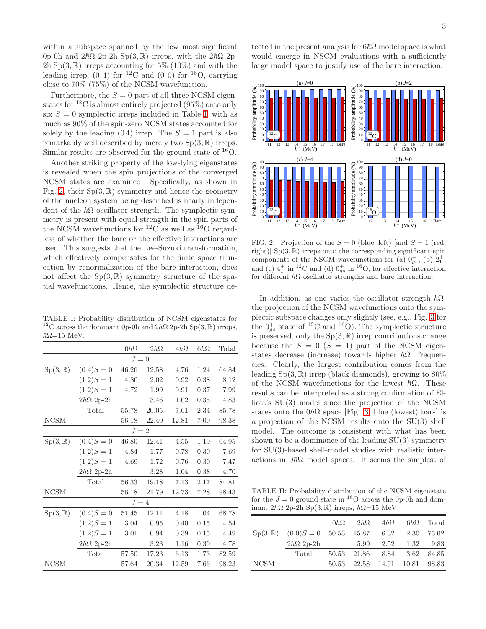within a subspace spanned by the few most significant 0p-0h and  $2\hbar\Omega$  2p-2h Sp(3, R) irreps, with the  $2\hbar\Omega$  2p-2h Sp $(3,\mathbb{R})$  irreps accounting for 5% (10%) and with the leading irrep,  $(0\ 4)$  for <sup>12</sup>C and  $(0\ 0)$  for <sup>16</sup>O, carrying close to 70% (75%) of the NCSM wavefunction.

Furthermore, the  $S = 0$  part of all three NCSM eigenstates for  ${}^{12}$ C is almost entirely projected (95%) onto only six  $S = 0$  symplectic irreps included in Table [I,](#page-3-0) with as much as 90% of the spin-zero NCSM states accounted for solely by the leading  $(0 4)$  irrep. The  $S = 1$  part is also remarkably well described by merely two  $Sp(3, \mathbb{R})$  irreps. Similar results are observed for the ground state of <sup>16</sup>O.

Another striking property of the low-lying eigenstates is revealed when the spin projections of the converged NCSM states are examined. Specifically, as shown in Fig. [2,](#page-3-2) their  $Sp(3, \mathbb{R})$  symmetry and hence the geometry of the nucleon system being described is nearly independent of the  $\hbar\Omega$  oscillator strength. The symplectic symmetry is present with equal strength in the spin parts of the NCSM wavefunctions for <sup>12</sup>C as well as <sup>16</sup>O regardless of whether the bare or the effective interactions are used. This suggests that the Lee-Suzuki transformation, which effectively compensates for the finite space truncation by renormalization of the bare interaction, does not affect the  $Sp(3, \mathbb{R})$  symmetry structure of the spatial wavefunctions. Hence, the symplectic structure de-

<span id="page-3-0"></span>TABLE I: Probability distribution of NCSM eigenstates for <sup>12</sup>C across the dominant 0p-0h and  $2\hbar\Omega$  2p-2h Sp(3, R) irreps,  $\hbar\Omega$ =15 MeV.

|                    |                      | $0\hbar\Omega$ | $2\hbar\Omega$ | $4\hbar\Omega$ | $6\hbar\Omega$ | Total |  |  |  |
|--------------------|----------------------|----------------|----------------|----------------|----------------|-------|--|--|--|
| $J=0$              |                      |                |                |                |                |       |  |  |  |
| $Sp(3,\mathbb{R})$ | $(0 4)S = 0$         | 46.26          | 12.58          | 4.76           | 1.24           | 64.84 |  |  |  |
|                    | $(1\ 2)S=1$          | 4.80           | 2.02           | 0.92           | 0.38           | 8.12  |  |  |  |
|                    | $(1\ 2)S=1$          | 4.72           | 1.99           | 0.91           | 0.37           | 7.99  |  |  |  |
|                    | $2\hbar\Omega$ 2p-2h |                | 3.46           | 1.02           | 0.35           | 4.83  |  |  |  |
|                    | Total                | 55.78          | 20.05          | 7.61           | 2.34           | 85.78 |  |  |  |
| <b>NCSM</b>        |                      | 56.18          | 22.40          | 12.81          | 7.00           | 98.38 |  |  |  |
| $J=2$              |                      |                |                |                |                |       |  |  |  |
| $Sp(3,\mathbb{R})$ | $(0 4)S = 0$         | 46.80          | 12.41          | 4.55           | 1.19           | 64.95 |  |  |  |
|                    | $(1\ 2)S=1$          | 4.84           | 1.77           | 0.78           | 0.30           | 7.69  |  |  |  |
|                    | $(1\ 2)S=1$          | 4.69           | 1.72           | 0.76           | 0.30           | 7.47  |  |  |  |
|                    | $2\hbar\Omega$ 2p-2h |                | 3.28           | 1.04           | 0.38           | 4.70  |  |  |  |
|                    | Total                | 56.33          | 19.18          | 7.13           | 2.17           | 84.81 |  |  |  |
| <b>NCSM</b>        |                      | 56.18          | 21.79          | 12.73          | 7.28           | 98.43 |  |  |  |
| $J=4$              |                      |                |                |                |                |       |  |  |  |
| $Sp(3,\mathbb{R})$ | $(0 4)S = 0$         | 51.45          | 12.11          | 4.18           | 1.04           | 68.78 |  |  |  |
|                    | $(1\ 2)S=1$          | 3.04           | 0.95           | 0.40           | 0.15           | 4.54  |  |  |  |
|                    | $(1\ 2)S=1$          | 3.01           | 0.94           | 0.39           | 0.15           | 4.49  |  |  |  |
|                    | $2\hbar\Omega$ 2p-2h |                | 3.23           | 1.16           | 0.39           | 4.78  |  |  |  |
|                    | Total                | 57.50          | 17.23          | 6.13           | 1.73           | 82.59 |  |  |  |
| <b>NCSM</b>        |                      | 57.64          | 20.34          | 12.59          | 7.66           | 98.23 |  |  |  |

tected in the present analysis for  $6\hbar\Omega$  model space is what would emerge in NSCM evaluations with a sufficiently large model space to justify use of the bare interaction.



<span id="page-3-2"></span>FIG. 2: Projection of the  $S = 0$  (blue, left) [and  $S = 1$  (red, right)]  $Sp(3, \mathbb{R})$  irreps onto the corresponding significant spin components of the NSCM wavefunctions for (a)  $0^+_{gs}$ , (b)  $2^+_1$ , and (c)  $4_1^+$  in <sup>12</sup>C and (d)  $0_{gs}^+$  in <sup>16</sup>O, for effective interaction for different  $\hbar\Omega$  oscillator strengths and bare interaction.

In addition, as one varies the oscillator strength  $\hbar\Omega$ , the projection of the NCSM wavefunctions onto the symplectic subspace changes only slightly (see, e.g., Fig. [3](#page-4-22) for the  $0_{gs}^+$  state of <sup>12</sup>C and <sup>16</sup>O). The symplectic structure is preserved, only the  $Sp(3, \mathbb{R})$  irrep contributions change because the  $S = 0$   $(S = 1)$  part of the NCSM eigenstates decrease (increase) towards higher  $\hbar\Omega$  frequencies. Clearly, the largest contribution comes from the leading  $Sp(3, \mathbb{R})$  irrep (black diamonds), growing to  $80\%$ of the NCSM wavefunctions for the lowest  $\hbar\Omega$ . These results can be interpreted as a strong confirmation of Elliott's SU(3) model since the projection of the NCSM states onto the  $0\hbar\Omega$  space [Fig. [3,](#page-4-22) blue (lowest) bars] is a projection of the NCSM results onto the SU(3) shell model. The outcome is consistent with what has been shown to be a dominance of the leading SU(3) symmetry for SU(3)-based shell-model studies with realistic interactions in  $0\hbar\Omega$  model spaces. It seems the simplest of

<span id="page-3-1"></span>TABLE II: Probability distribution of the NCSM eigenstate for the  $J = 0$  ground state in <sup>16</sup>O across the 0p-0h and dominant  $2\hbar\Omega$  2p-2h Sp(3, R) irreps,  $\hbar\Omega$ =15 MeV.

|             |                                                     | $0\hbar\Omega$ | $2\hbar\Omega$              | $4\hbar\Omega$ | $6\hbar\Omega$ | Total |
|-------------|-----------------------------------------------------|----------------|-----------------------------|----------------|----------------|-------|
|             | $Sp(3, \mathbb{R})$ $(0 \ 0)S = 0$ 50.53 15.87 6.32 |                |                             |                | 2.30           | 75.02 |
|             | $2\hbar\Omega$ 2p-2h                                |                |                             | 5.99 2.52 1.32 |                | 9.83  |
|             | Total                                               |                | 50.53 21.86 8.84 3.62 84.85 |                |                |       |
| <b>NCSM</b> |                                                     |                | 50.53 22.58 14.91 10.81     |                |                | 98.83 |